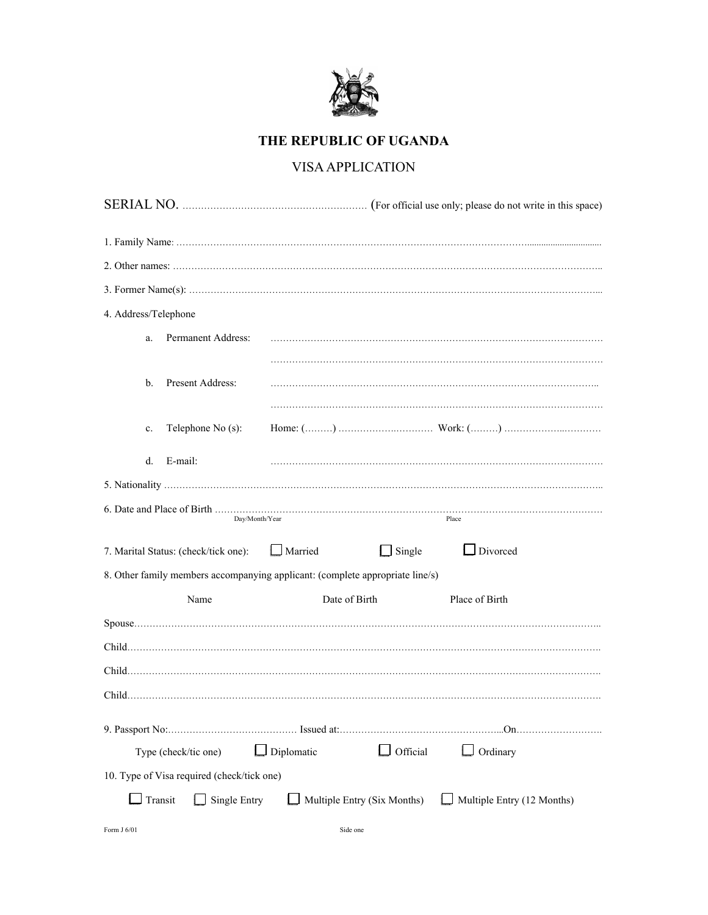

## **THE REPUBLIC OF UGANDA**

## VISA APPLICATION

| 4. Address/Telephone                                                          |                      |                                 |                            |  |  |
|-------------------------------------------------------------------------------|----------------------|---------------------------------|----------------------------|--|--|
| a.                                                                            | Permanent Address:   |                                 |                            |  |  |
|                                                                               |                      |                                 |                            |  |  |
| b.                                                                            | Present Address:     |                                 |                            |  |  |
|                                                                               |                      |                                 |                            |  |  |
| $\mathbf{c}$ .                                                                | Telephone No (s):    |                                 |                            |  |  |
| d.                                                                            | E-mail:              |                                 |                            |  |  |
|                                                                               |                      |                                 |                            |  |  |
| Day/Month/Year<br>Place                                                       |                      |                                 |                            |  |  |
|                                                                               |                      |                                 |                            |  |  |
| 7. Marital Status: (check/tick one):                                          |                      | $\Box$ Single<br>$\Box$ Married | $\Box$ Divorced            |  |  |
| 8. Other family members accompanying applicant: (complete appropriate line/s) |                      |                                 |                            |  |  |
|                                                                               | Name                 | Date of Birth                   | Place of Birth             |  |  |
|                                                                               |                      |                                 |                            |  |  |
|                                                                               |                      |                                 |                            |  |  |
|                                                                               |                      |                                 |                            |  |  |
|                                                                               |                      |                                 |                            |  |  |
|                                                                               |                      |                                 |                            |  |  |
|                                                                               | Type (check/tic one) | $\Box$ Diplomatic<br>Official   | Ordinary                   |  |  |
| 10. Type of Visa required (check/tick one)                                    |                      |                                 |                            |  |  |
| Transit                                                                       | Single Entry         | Multiple Entry (Six Months)     | Multiple Entry (12 Months) |  |  |